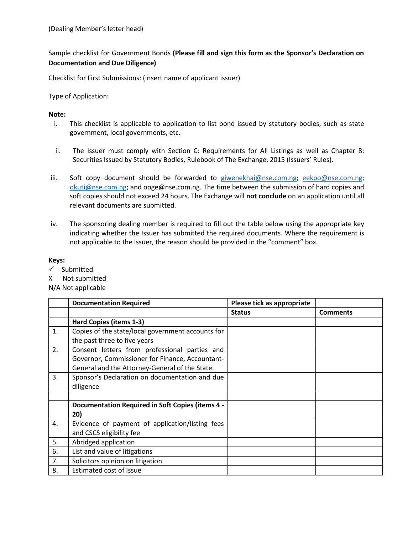## Sample checklist for Government Bonds **(Please fill and sign this form as the Sponsor's Declaration on Documentation and Due Diligence)**

Checklist for First Submissions: (insert name of applicant issuer)

Type of Application:

## **Note:**

- i. This checklist is applicable to application to list bond issued by statutory bodies, such as state government, local governments, etc.
- ii. The Issuer must comply with Section C: Requirements for All Listings as well as Chapter 8: Securities Issued by Statutory Bodies, Rulebook of The Exchange, 2015 (Issuers' Rules).
- iii. Soft copy document should be forwarded to [giwenekhai@nse.com.ng;](mailto:giwenekhai@nse.com.ng) [eekpo@nse.com.ng;](mailto:eekpo@nse.com.ng) [okuti@nse.com.ng;](mailto:okuti@nse.com.ng) and ooge@nse.com.ng. The time between the submission of hard copies and soft copies should not exceed 24 hours. The Exchange will **not conclude** on an application until all relevant documents are submitted.
- iv. The sponsoring dealing member is required to fill out the table below using the appropriate key indicating whether the Issuer has submitted the required documents. Where the requirement is not applicable to the Issuer, the reason should be provided in the "comment" box.

## **Keys:**

- $\checkmark$  Submitted
- X Not submitted
- N/A Not applicable

|                | <b>Documentation Required</b>                     | Please tick as appropriate |                 |
|----------------|---------------------------------------------------|----------------------------|-----------------|
|                |                                                   | <b>Status</b>              | <b>Comments</b> |
|                | Hard Copies (items 1-3)                           |                            |                 |
| 1.             | Copies of the state/local government accounts for |                            |                 |
|                | the past three to five years                      |                            |                 |
| 2.             | Consent letters from professional parties and     |                            |                 |
|                | Governor, Commissioner for Finance, Accountant-   |                            |                 |
|                | General and the Attorney-General of the State.    |                            |                 |
| 3.             | Sponsor's Declaration on documentation and due    |                            |                 |
|                | diligence                                         |                            |                 |
|                |                                                   |                            |                 |
|                | Documentation Required in Soft Copies (items 4 -  |                            |                 |
|                | 20)                                               |                            |                 |
| $\mathbf{4}$ . | Evidence of payment of application/listing fees   |                            |                 |
|                | and CSCS eligibility fee                          |                            |                 |
| 5.             | Abridged application                              |                            |                 |
| 6.             | List and value of litigations                     |                            |                 |
| 7.             | Solicitors opinion on litigation                  |                            |                 |
| 8.             | <b>Estimated cost of Issue</b>                    |                            |                 |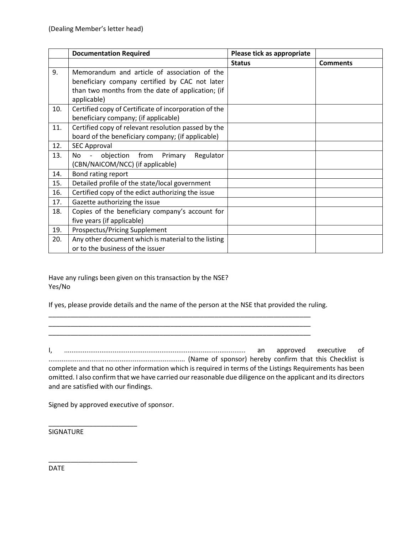|     | <b>Documentation Required</b>                                                | Please tick as appropriate |                 |
|-----|------------------------------------------------------------------------------|----------------------------|-----------------|
|     |                                                                              | <b>Status</b>              | <b>Comments</b> |
| 9.  | Memorandum and article of association of the                                 |                            |                 |
|     | beneficiary company certified by CAC not later                               |                            |                 |
|     | than two months from the date of application; (if                            |                            |                 |
|     | applicable)                                                                  |                            |                 |
| 10. | Certified copy of Certificate of incorporation of the                        |                            |                 |
|     | beneficiary company; (if applicable)                                         |                            |                 |
| 11. | Certified copy of relevant resolution passed by the                          |                            |                 |
|     | board of the beneficiary company; (if applicable)                            |                            |                 |
| 12. | <b>SEC Approval</b>                                                          |                            |                 |
| 13. | objection<br>from<br>Primary<br>Regulator<br>No.<br>$\overline{\phantom{a}}$ |                            |                 |
|     | (CBN/NAICOM/NCC) (if applicable)                                             |                            |                 |
| 14. | Bond rating report                                                           |                            |                 |
| 15. | Detailed profile of the state/local government                               |                            |                 |
| 16. | Certified copy of the edict authorizing the issue                            |                            |                 |
| 17. | Gazette authorizing the issue                                                |                            |                 |
| 18. | Copies of the beneficiary company's account for                              |                            |                 |
|     | five years (if applicable)                                                   |                            |                 |
| 19. | Prospectus/Pricing Supplement                                                |                            |                 |
| 20. | Any other document which is material to the listing                          |                            |                 |
|     | or to the business of the issuer                                             |                            |                 |

Have any rulings been given on this transaction by the NSE? Yes/No

If yes, please provide details and the name of the person at the NSE that provided the ruling.

\_\_\_\_\_\_\_\_\_\_\_\_\_\_\_\_\_\_\_\_\_\_\_\_\_\_\_\_\_\_\_\_\_\_\_\_\_\_\_\_\_\_\_\_\_\_\_\_\_\_\_\_\_\_\_\_\_\_\_\_\_\_\_\_\_\_\_\_\_\_\_ \_\_\_\_\_\_\_\_\_\_\_\_\_\_\_\_\_\_\_\_\_\_\_\_\_\_\_\_\_\_\_\_\_\_\_\_\_\_\_\_\_\_\_\_\_\_\_\_\_\_\_\_\_\_\_\_\_\_\_\_\_\_\_\_\_\_\_\_\_\_\_

\_\_\_\_\_\_\_\_\_\_\_\_\_\_\_\_\_\_\_\_\_\_\_\_\_\_\_\_\_\_\_\_\_\_\_\_\_\_\_\_\_\_\_\_\_\_\_\_\_\_\_\_\_\_\_\_\_\_\_\_\_\_\_\_\_\_\_\_\_\_\_

I, ................................................................................................. an approved executive of ......................................................................... (Name of sponsor) hereby confirm that this Checklist is complete and that no other information which is required in terms of the Listings Requirements has been omitted. I also confirm that we have carried our reasonable due diligence on the applicant and its directors and are satisfied with our findings.

Signed by approved executive of sponsor.

\_\_\_\_\_\_\_\_\_\_\_\_\_\_\_\_\_\_\_\_\_\_\_\_

\_\_\_\_\_\_\_\_\_\_\_\_\_\_\_\_\_\_\_\_\_\_\_\_

SIGNATURE

DATE